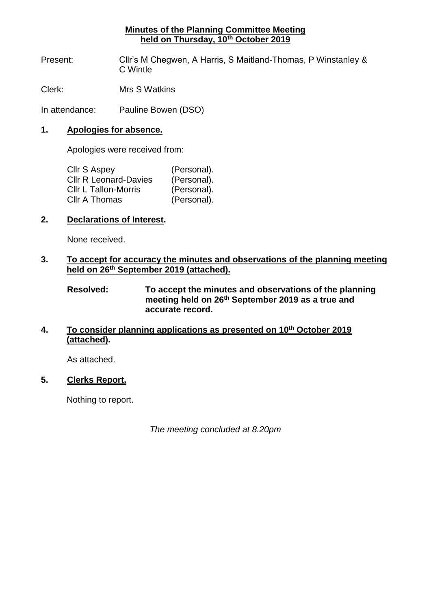## **Minutes of the Planning Committee Meeting held on Thursday, 10th October 2019**

Present: Cllr's M Chegwen, A Harris, S Maitland-Thomas, P Winstanley & C Wintle

Clerk: Mrs S Watkins

In attendance: Pauline Bowen (DSO)

#### **1. Apologies for absence.**

Apologies were received from:

| Cllr S Aspey                 | (Personal). |
|------------------------------|-------------|
| <b>CIIr R Leonard-Davies</b> | (Personal). |
| <b>CIIr L Tallon-Morris</b>  | (Personal). |
| Cllr A Thomas                | (Personal). |

### **2. Declarations of Interest.**

None received.

### **3. To accept for accuracy the minutes and observations of the planning meeting held on 26th September 2019 (attached).**

**Resolved: To accept the minutes and observations of the planning meeting held on 26th September 2019 as a true and accurate record.**

# **4. To consider planning applications as presented on 10th October 2019 (attached).**

As attached.

# **5. Clerks Report.**

Nothing to report.

*The meeting concluded at 8.20pm*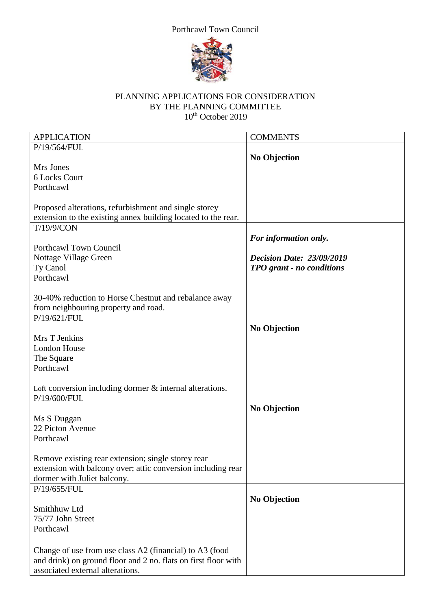



#### PLANNING APPLICATIONS FOR CONSIDERATION BY THE PLANNING COMMITTEE 10<sup>th</sup> October 2019

| <b>APPLICATION</b>                                             | <b>COMMENTS</b>                  |
|----------------------------------------------------------------|----------------------------------|
| P/19/564/FUL                                                   |                                  |
|                                                                | <b>No Objection</b>              |
| Mrs Jones                                                      |                                  |
| 6 Locks Court                                                  |                                  |
| Porthcawl                                                      |                                  |
|                                                                |                                  |
| Proposed alterations, refurbishment and single storey          |                                  |
| extension to the existing annex building located to the rear.  |                                  |
| T/19/9/CON                                                     |                                  |
|                                                                | For information only.            |
| Porthcawl Town Council                                         |                                  |
| Nottage Village Green                                          | <b>Decision Date: 23/09/2019</b> |
| Ty Canol                                                       | TPO grant - no conditions        |
| Porthcawl                                                      |                                  |
|                                                                |                                  |
| 30-40% reduction to Horse Chestnut and rebalance away          |                                  |
| from neighbouring property and road.<br>P/19/621/FUL           |                                  |
|                                                                | <b>No Objection</b>              |
| Mrs T Jenkins                                                  |                                  |
| <b>London House</b>                                            |                                  |
| The Square                                                     |                                  |
| Porthcawl                                                      |                                  |
|                                                                |                                  |
| Loft conversion including dormer $&$ internal alterations.     |                                  |
| P/19/600/FUL                                                   |                                  |
|                                                                | <b>No Objection</b>              |
| Ms S Duggan                                                    |                                  |
| 22 Picton Avenue                                               |                                  |
| Porthcawl                                                      |                                  |
|                                                                |                                  |
| Remove existing rear extension; single storey rear             |                                  |
| extension with balcony over; attic conversion including rear   |                                  |
| dormer with Juliet balcony.                                    |                                  |
| P/19/655/FUL                                                   |                                  |
|                                                                | <b>No Objection</b>              |
| Smithhuw Ltd                                                   |                                  |
| 75/77 John Street                                              |                                  |
| Porthcawl                                                      |                                  |
|                                                                |                                  |
| Change of use from use class A2 (financial) to A3 (food        |                                  |
| and drink) on ground floor and 2 no. flats on first floor with |                                  |
| associated external alterations.                               |                                  |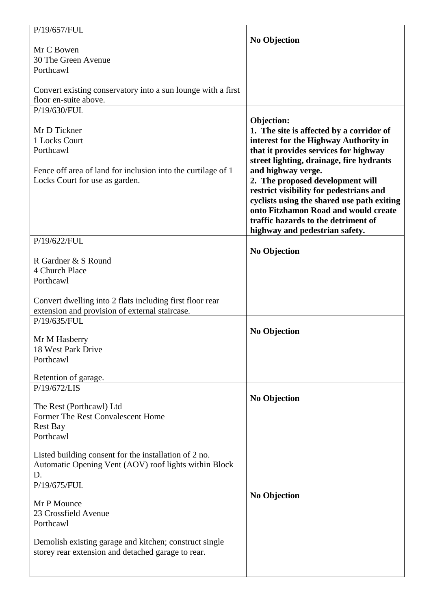| P/19/657/FUL                                                                                                 | <b>No Objection</b>                        |
|--------------------------------------------------------------------------------------------------------------|--------------------------------------------|
| Mr C Bowen                                                                                                   |                                            |
| 30 The Green Avenue                                                                                          |                                            |
| Porthcawl                                                                                                    |                                            |
|                                                                                                              |                                            |
| Convert existing conservatory into a sun lounge with a first                                                 |                                            |
| floor en-suite above.                                                                                        |                                            |
| P/19/630/FUL                                                                                                 |                                            |
|                                                                                                              | Objection:                                 |
| Mr D Tickner                                                                                                 | 1. The site is affected by a corridor of   |
| 1 Locks Court                                                                                                | interest for the Highway Authority in      |
| Porthcawl                                                                                                    |                                            |
|                                                                                                              | that it provides services for highway      |
|                                                                                                              | street lighting, drainage, fire hydrants   |
| Fence off area of land for inclusion into the curtilage of 1                                                 | and highway verge.                         |
| Locks Court for use as garden.                                                                               | 2. The proposed development will           |
|                                                                                                              | restrict visibility for pedestrians and    |
|                                                                                                              | cyclists using the shared use path exiting |
|                                                                                                              | onto Fitzhamon Road and would create       |
|                                                                                                              | traffic hazards to the detriment of        |
|                                                                                                              | highway and pedestrian safety.             |
| P/19/622/FUL                                                                                                 |                                            |
|                                                                                                              | <b>No Objection</b>                        |
| R Gardner & S Round                                                                                          |                                            |
| 4 Church Place                                                                                               |                                            |
| Porthcawl                                                                                                    |                                            |
|                                                                                                              |                                            |
| Convert dwelling into 2 flats including first floor rear                                                     |                                            |
| extension and provision of external staircase.                                                               |                                            |
| P/19/635/FUL                                                                                                 |                                            |
|                                                                                                              | <b>No Objection</b>                        |
| Mr M Hasberry                                                                                                |                                            |
| 18 West Park Drive                                                                                           |                                            |
| Porthcawl                                                                                                    |                                            |
| Retention of garage.                                                                                         |                                            |
| P/19/672/LIS                                                                                                 |                                            |
|                                                                                                              | <b>No Objection</b>                        |
| The Rest (Porthcawl) Ltd                                                                                     |                                            |
| Former The Rest Convalescent Home                                                                            |                                            |
| <b>Rest Bay</b>                                                                                              |                                            |
| Porthcawl                                                                                                    |                                            |
|                                                                                                              |                                            |
| Listed building consent for the installation of 2 no.                                                        |                                            |
| Automatic Opening Vent (AOV) roof lights within Block                                                        |                                            |
| D.                                                                                                           |                                            |
| P/19/675/FUL                                                                                                 |                                            |
|                                                                                                              | <b>No Objection</b>                        |
| Mr P Mounce                                                                                                  |                                            |
| 23 Crossfield Avenue                                                                                         |                                            |
| Porthcawl                                                                                                    |                                            |
|                                                                                                              |                                            |
| Demolish existing garage and kitchen; construct single<br>storey rear extension and detached garage to rear. |                                            |
|                                                                                                              |                                            |
|                                                                                                              |                                            |
|                                                                                                              |                                            |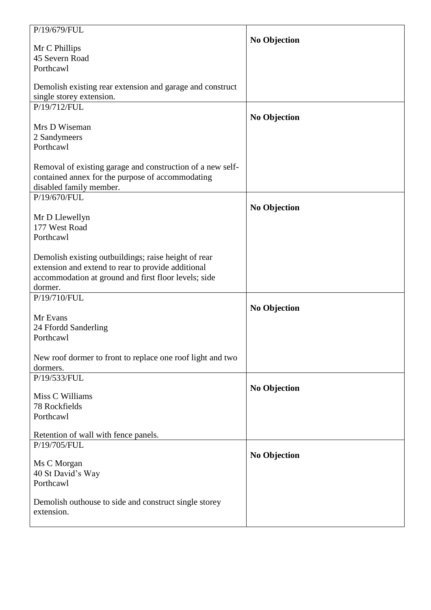| P/19/679/FUL                                                                                               |                     |
|------------------------------------------------------------------------------------------------------------|---------------------|
| Mr C Phillips                                                                                              | <b>No Objection</b> |
| 45 Severn Road                                                                                             |                     |
| Porthcawl                                                                                                  |                     |
|                                                                                                            |                     |
| Demolish existing rear extension and garage and construct                                                  |                     |
| single storey extension.                                                                                   |                     |
| P/19/712/FUL                                                                                               |                     |
| Mrs D Wiseman                                                                                              | <b>No Objection</b> |
| 2 Sandymeers                                                                                               |                     |
| Porthcawl                                                                                                  |                     |
|                                                                                                            |                     |
| Removal of existing garage and construction of a new self-                                                 |                     |
| contained annex for the purpose of accommodating                                                           |                     |
| disabled family member.                                                                                    |                     |
| P/19/670/FUL                                                                                               |                     |
|                                                                                                            | <b>No Objection</b> |
| Mr D Llewellyn                                                                                             |                     |
| 177 West Road                                                                                              |                     |
| Porthcawl                                                                                                  |                     |
|                                                                                                            |                     |
| Demolish existing outbuildings; raise height of rear<br>extension and extend to rear to provide additional |                     |
| accommodation at ground and first floor levels; side                                                       |                     |
| dormer.                                                                                                    |                     |
| P/19/710/FUL                                                                                               |                     |
|                                                                                                            | <b>No Objection</b> |
| Mr Evans                                                                                                   |                     |
| 24 Ffordd Sanderling                                                                                       |                     |
| Porthcawl                                                                                                  |                     |
|                                                                                                            |                     |
| New roof dormer to front to replace one roof light and two                                                 |                     |
| dormers.<br>P/19/533/FUL                                                                                   |                     |
|                                                                                                            | <b>No Objection</b> |
| Miss C Williams                                                                                            |                     |
| 78 Rockfields                                                                                              |                     |
| Porthcawl                                                                                                  |                     |
|                                                                                                            |                     |
| Retention of wall with fence panels.<br>P/19/705/FUL                                                       |                     |
|                                                                                                            | <b>No Objection</b> |
| Ms C Morgan                                                                                                |                     |
| 40 St David's Way                                                                                          |                     |
| Porthcawl                                                                                                  |                     |
|                                                                                                            |                     |
| Demolish outhouse to side and construct single storey                                                      |                     |
| extension.                                                                                                 |                     |
|                                                                                                            |                     |